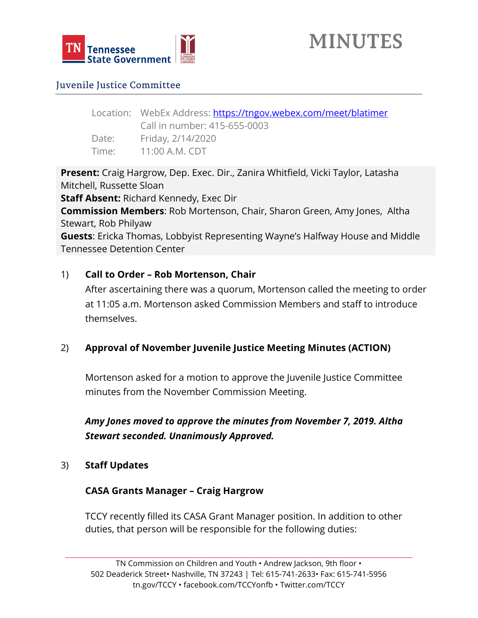

# Juvenile Justice Committee

Location: WebEx Address:<https://tngov.webex.com/meet/blatimer> Call in number: 415-655-0003 Date: Friday, 2/14/2020 Time: 11:00 A.M. CDT

**Present:** Craig Hargrow, Dep. Exec. Dir., Zanira Whitfield, Vicki Taylor, Latasha Mitchell, Russette Sloan

**Staff Absent:** Richard Kennedy, Exec Dir

**Commission Members**: Rob Mortenson, Chair, Sharon Green, Amy Jones, Altha Stewart, Rob Philyaw

**Guests**: Ericka Thomas, Lobbyist Representing Wayne's Halfway House and Middle Tennessee Detention Center

# 1) **Call to Order – Rob Mortenson, Chair**

After ascertaining there was a quorum, Mortenson called the meeting to order at 11:05 a.m. Mortenson asked Commission Members and staff to introduce themselves.

# 2) **Approval of November Juvenile Justice Meeting Minutes (ACTION)**

Mortenson asked for a motion to approve the Juvenile Justice Committee minutes from the November Commission Meeting.

*Amy Jones moved to approve the minutes from November 7, 2019. Altha Stewart seconded. Unanimously Approved.*

3) **Staff Updates**

## **CASA Grants Manager – Craig Hargrow**

TCCY recently filled its CASA Grant Manager position. In addition to other duties, that person will be responsible for the following duties: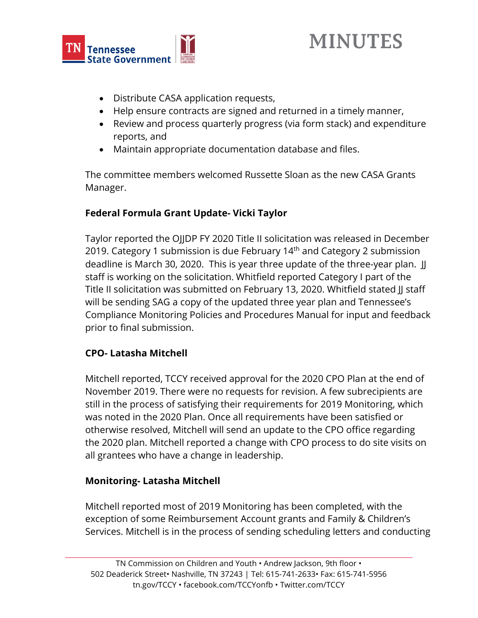

# **MINUTES**

- Distribute CASA application requests,
- Help ensure contracts are signed and returned in a timely manner,
- Review and process quarterly progress (via form stack) and expenditure reports, and
- Maintain appropriate documentation database and files.

The committee members welcomed Russette Sloan as the new CASA Grants Manager.

# **Federal Formula Grant Update- Vicki Taylor**

Taylor reported the OJJDP FY 2020 Title II solicitation was released in December 2019. Category 1 submission is due February 14<sup>th</sup> and Category 2 submission deadline is March 30, 2020. This is year three update of the three-year plan. JJ staff is working on the solicitation. Whitfield reported Category I part of the Title II solicitation was submitted on February 13, 2020. Whitfield stated JJ staff will be sending SAG a copy of the updated three year plan and Tennessee's Compliance Monitoring Policies and Procedures Manual for input and feedback prior to final submission.

# **CPO- Latasha Mitchell**

Mitchell reported, TCCY received approval for the 2020 CPO Plan at the end of November 2019. There were no requests for revision. A few subrecipients are still in the process of satisfying their requirements for 2019 Monitoring, which was noted in the 2020 Plan. Once all requirements have been satisfied or otherwise resolved, Mitchell will send an update to the CPO office regarding the 2020 plan. Mitchell reported a change with CPO process to do site visits on all grantees who have a change in leadership.

# **Monitoring- Latasha Mitchell**

Mitchell reported most of 2019 Monitoring has been completed, with the exception of some Reimbursement Account grants and Family & Children's Services. Mitchell is in the process of sending scheduling letters and conducting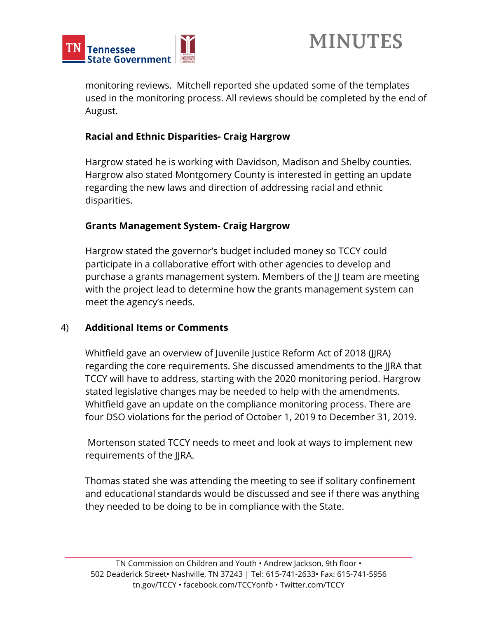



monitoring reviews. Mitchell reported she updated some of the templates used in the monitoring process. All reviews should be completed by the end of August.

## **Racial and Ethnic Disparities- Craig Hargrow**

Hargrow stated he is working with Davidson, Madison and Shelby counties. Hargrow also stated Montgomery County is interested in getting an update regarding the new laws and direction of addressing racial and ethnic disparities.

## **Grants Management System- Craig Hargrow**

Hargrow stated the governor's budget included money so TCCY could participate in a collaborative effort with other agencies to develop and purchase a grants management system. Members of the JJ team are meeting with the project lead to determine how the grants management system can meet the agency's needs.

## 4) **Additional Items or Comments**

Whitfield gave an overview of Juvenile Justice Reform Act of 2018 (JJRA) regarding the core requirements. She discussed amendments to the JJRA that TCCY will have to address, starting with the 2020 monitoring period. Hargrow stated legislative changes may be needed to help with the amendments. Whitfield gave an update on the compliance monitoring process. There are four DSO violations for the period of October 1, 2019 to December 31, 2019.

Mortenson stated TCCY needs to meet and look at ways to implement new requirements of the JJRA.

Thomas stated she was attending the meeting to see if solitary confinement and educational standards would be discussed and see if there was anything they needed to be doing to be in compliance with the State.